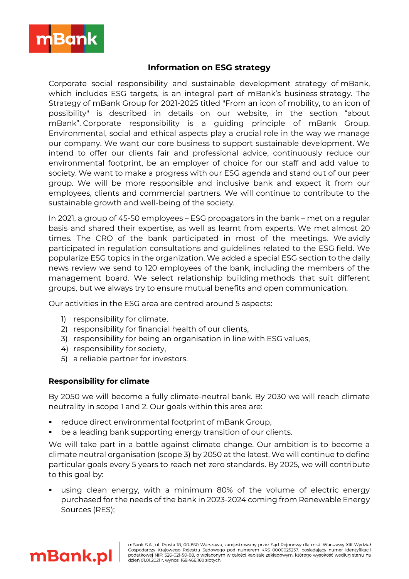

# **Information on ESG strategy**

Corporate social responsibility and sustainable development strategy of mBank, which includes ESG targets, is an integral part of mBank's business strategy. The Strategy of mBank Group for 2021-2025 titled "From an icon of mobility, to an icon of possibility" is described in details on our website, in the section "about mBank". Corporate responsibility is a guiding principle of mBank Group. Environmental, social and ethical aspects play a crucial role in the way we manage our company. We want our core business to support sustainable development. We intend to offer our clients fair and professional advice, continuously reduce our environmental footprint, be an employer of choice for our staff and add value to society. We want to make a progress with our ESG agenda and stand out of our peer group. We will be more responsible and inclusive bank and expect it from our employees, clients and commercial partners. We will continue to contribute to the sustainable growth and well-being of the society.

In 2021, a group of 45-50 employees – ESG propagators in the bank – met on a regular basis and shared their expertise, as well as learnt from experts. We met almost 20 times. The CRO of the bank participated in most of the meetings. We avidly participated in regulation consultations and guidelines related to the ESG field. We popularize ESG topics in the organization. We added a special ESG section to the daily news review we send to 120 employees of the bank, including the members of the management board. We select relationship building methods that suit different groups, but we always try to ensure mutual benefits and open communication.

Our activities in the ESG area are centred around 5 aspects:

- 1) responsibility for climate,
- 2) responsibility for financial health of our clients,
- 3) responsibility for being an organisation in line with ESG values,
- 4) responsibility for society,
- 5) a reliable partner for investors.

## **Responsibility for climate**

By 2050 we will become a fully climate-neutral bank. By 2030 we will reach climate neutrality in scope 1 and 2. Our goals within this area are:

- reduce direct environmental footprint of mBank Group,
- be a leading bank supporting energy transition of our clients.

We will take part in a battle against climate change. Our ambition is to become a climate neutral organisation (scope 3) by 2050 at the latest. We will continue to define particular goals every 5 years to reach net zero standards. By 2025, we will contribute to this goal by:

using clean energy, with a minimum 80% of the volume of electric energy purchased for the needs of the bank in 2023-2024 coming from Renewable Energy Sources (RES);

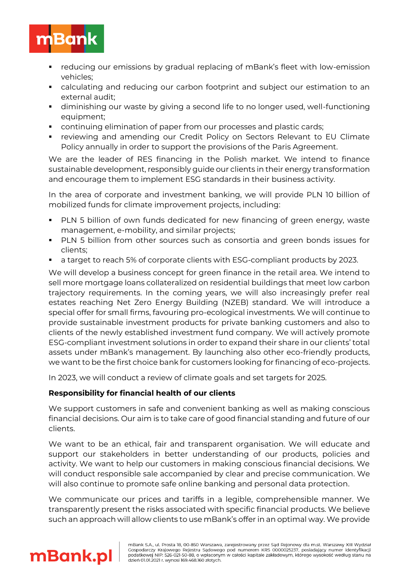

- reducing our emissions by gradual replacing of mBank's fleet with low-emission vehicles;
- calculating and reducing our carbon footprint and subject our estimation to an external audit;
- **•** diminishing our waste by giving a second life to no longer used, well-functioning equipment;
- **•** continuing elimination of paper from our processes and plastic cards;
- reviewing and amending our Credit Policy on Sectors Relevant to EU Climate Policy annually in order to support the provisions of the Paris Agreement.

We are the leader of RES financing in the Polish market. We intend to finance sustainable development, responsibly guide our clients in their energy transformation and encourage them to implement ESG standards in their business activity.

In the area of corporate and investment banking, we will provide PLN 10 billion of mobilized funds for climate improvement projects, including:

- **•** PLN 5 billion of own funds dedicated for new financing of green energy, waste management, e-mobility, and similar projects;
- PLN 5 billion from other sources such as consortia and green bonds issues for clients;
- a target to reach 5% of corporate clients with ESG-compliant products by 2023.

We will develop a business concept for green finance in the retail area. We intend to sell more mortgage loans collateralized on residential buildings that meet low carbon trajectory requirements. In the coming years, we will also increasingly prefer real estates reaching Net Zero Energy Building (NZEB) standard. We will introduce a special offer for small firms, favouring pro-ecological investments. We will continue to provide sustainable investment products for private banking customers and also to clients of the newly established investment fund company. We will actively promote ESG-compliant investment solutions in order to expand their share in our clients' total assets under mBank's management. By launching also other eco-friendly products, we want to be the first choice bank for customers looking for financing of eco-projects.

In 2023, we will conduct a review of climate goals and set targets for 2025.

## **Responsibility for financial health of our clients**

We support customers in safe and convenient banking as well as making conscious financial decisions. Our aim is to take care of good financial standing and future of our clients.

We want to be an ethical, fair and transparent organisation. We will educate and support our stakeholders in better understanding of our products, policies and activity. We want to help our customers in making conscious financial decisions. We will conduct responsible sale accompanied by clear and precise communication. We will also continue to promote safe online banking and personal data protection.

We communicate our prices and tariffs in a legible, comprehensible manner. We transparently present the risks associated with specific financial products. We believe such an approach will allow clients to use mBank's offer in an optimal way. We provide

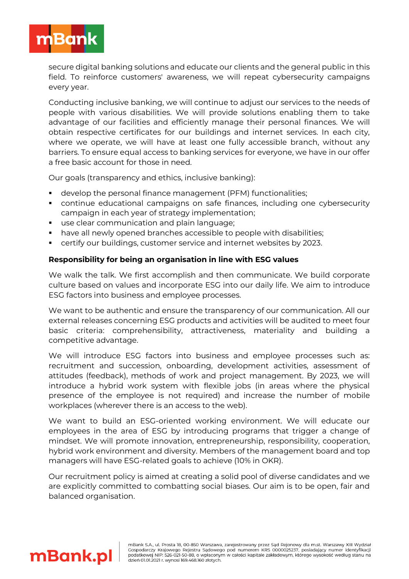

secure digital banking solutions and educate our clients and the general public in this field. To reinforce customers' awareness, we will repeat cybersecurity campaigns every year.

Conducting inclusive banking, we will continue to adjust our services to the needs of people with various disabilities. We will provide solutions enabling them to take advantage of our facilities and efficiently manage their personal finances. We will obtain respective certificates for our buildings and internet services. In each city, where we operate, we will have at least one fully accessible branch, without any barriers. To ensure equal access to banking services for everyone, we have in our offer a free basic account for those in need.

Our goals (transparency and ethics, inclusive banking):

- develop the personal finance management (PFM) functionalities;
- **•** continue educational campaigns on safe finances, including one cybersecurity campaign in each year of strategy implementation;
- use clear communication and plain language;
- have all newly opened branches accessible to people with disabilities;
- certify our buildings, customer service and internet websites by 2023.

### **Responsibility for being an organisation in line with ESG values**

We walk the talk. We first accomplish and then communicate. We build corporate culture based on values and incorporate ESG into our daily life. We aim to introduce ESG factors into business and employee processes.

We want to be authentic and ensure the transparency of our communication. All our external releases concerning ESG products and activities will be audited to meet four basic criteria: comprehensibility, attractiveness, materiality and building a competitive advantage.

We will introduce ESG factors into business and employee processes such as: recruitment and succession, onboarding, development activities, assessment of attitudes (feedback), methods of work and project management. By 2023, we will introduce a hybrid work system with flexible jobs (in areas where the physical presence of the employee is not required) and increase the number of mobile workplaces (wherever there is an access to the web).

We want to build an ESG-oriented working environment. We will educate our employees in the area of ESG by introducing programs that trigger a change of mindset. We will promote innovation, entrepreneurship, responsibility, cooperation, hybrid work environment and diversity. Members of the management board and top managers will have ESG-related goals to achieve (10% in OKR).

Our recruitment policy is aimed at creating a solid pool of diverse candidates and we are explicitly committed to combatting social biases. Our aim is to be open, fair and balanced organisation.

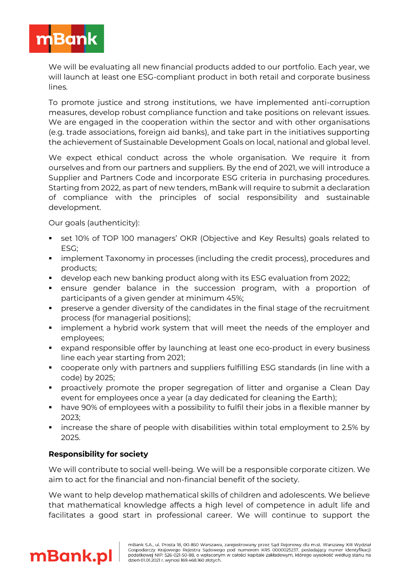

We will be evaluating all new financial products added to our portfolio. Each year, we will launch at least one ESG-compliant product in both retail and corporate business lines.

To promote justice and strong institutions, we have implemented anti-corruption measures, develop robust compliance function and take positions on relevant issues. We are engaged in the cooperation within the sector and with other organisations (e.g. trade associations, foreign aid banks), and take part in the initiatives supporting the achievement of Sustainable Development Goals on local, national and global level.

We expect ethical conduct across the whole organisation. We require it from ourselves and from our partners and suppliers. By the end of 2021, we will introduce a Supplier and Partners Code and incorporate ESG criteria in purchasing procedures. Starting from 2022, as part of new tenders, mBank will require to submit a declaration of compliance with the principles of social responsibility and sustainable development.

Our goals (authenticity):

- set 10% of TOP 100 managers' OKR (Objective and Key Results) goals related to ESG;
- implement Taxonomy in processes (including the credit process), procedures and products;
- develop each new banking product along with its ESG evaluation from 2022;
- ensure gender balance in the succession program, with a proportion of participants of a given gender at minimum 45%;
- preserve a gender diversity of the candidates in the final stage of the recruitment process (for managerial positions);
- implement a hybrid work system that will meet the needs of the employer and employees;
- expand responsible offer by launching at least one eco-product in every business line each year starting from 2021;
- cooperate only with partners and suppliers fulfilling ESG standards (in line with a code) by 2025;
- proactively promote the proper segregation of litter and organise a Clean Day event for employees once a year (a day dedicated for cleaning the Earth);
- have 90% of employees with a possibility to fulfil their jobs in a flexible manner by 2023;
- increase the share of people with disabilities within total employment to 2.5% by 2025.

## **Responsibility for society**

We will contribute to social well-being. We will be a responsible corporate citizen. We aim to act for the financial and non-financial benefit of the society.

We want to help develop mathematical skills of children and adolescents. We believe that mathematical knowledge affects a high level of competence in adult life and facilitates a good start in professional career. We will continue to support the

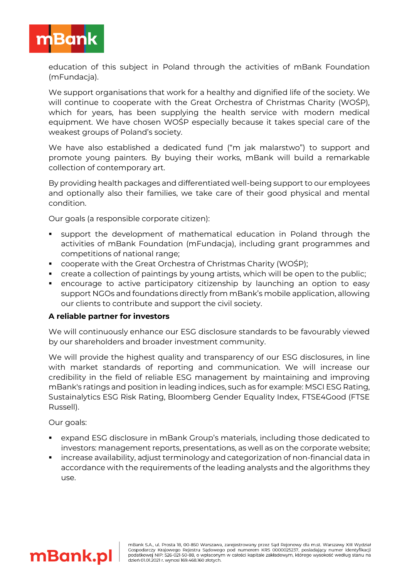

education of this subject in Poland through the activities of mBank Foundation (mFundacja).

We support organisations that work for a healthy and dignified life of the society. We will continue to cooperate with the Great Orchestra of Christmas Charity (WOŚP), which for years, has been supplying the health service with modern medical equipment. We have chosen WOŚP especially because it takes special care of the weakest groups of Poland's society.

We have also established a dedicated fund ("m jak malarstwo") to support and promote young painters. By buying their works, mBank will build a remarkable collection of contemporary art.

By providing health packages and differentiated well-being support to our employees and optionally also their families, we take care of their good physical and mental condition.

Our goals (a responsible corporate citizen):

- support the development of mathematical education in Poland through the activities of mBank Foundation (mFundacja), including grant programmes and competitions of national range;
- cooperate with the Great Orchestra of Christmas Charity (WOŚP);
- create a collection of paintings by young artists, which will be open to the public;
- **•** encourage to active participatory citizenship by launching an option to easy support NGOs and foundations directly from mBank's mobile application, allowing our clients to contribute and support the civil society.

#### **A reliable partner for investors**

We will continuously enhance our ESG disclosure standards to be favourably viewed by our shareholders and broader investment community.

We will provide the highest quality and transparency of our ESG disclosures, in line with market standards of reporting and communication. We will increase our credibility in the field of reliable ESG management by maintaining and improving mBank's ratings and position in leading indices, such as for example: MSCI ESG Rating, Sustainalytics ESG Risk Rating, Bloomberg Gender Equality Index, FTSE4Good (FTSE Russell).

Our goals:

- expand ESG disclosure in mBank Group's materials, including those dedicated to investors: management reports, presentations, as well as on the corporate website;
- increase availability, adjust terminology and categorization of non-financial data in accordance with the requirements of the leading analysts and the algorithms they use.